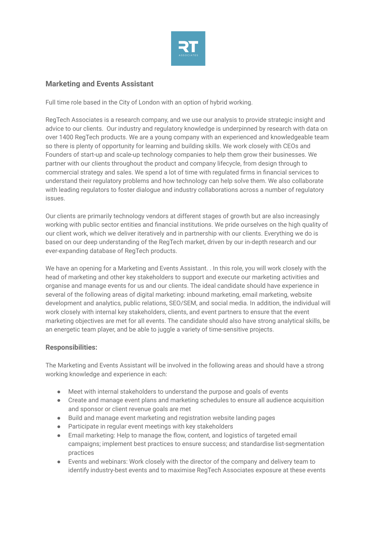

## **Marketing and Events Assistant**

Full time role based in the City of London with an option of hybrid working.

RegTech Associates is a research company, and we use our analysis to provide strategic insight and advice to our clients. Our industry and regulatory knowledge is underpinned by research with data on over 1400 RegTech products. We are a young company with an experienced and knowledgeable team so there is plenty of opportunity for learning and building skills. We work closely with CEOs and Founders of start-up and scale-up technology companies to help them grow their businesses. We partner with our clients throughout the product and company lifecycle, from design through to commercial strategy and sales. We spend a lot of time with regulated firms in financial services to understand their regulatory problems and how technology can help solve them. We also collaborate with leading regulators to foster dialogue and industry collaborations across a number of regulatory issues.

Our clients are primarily technology vendors at different stages of growth but are also increasingly working with public sector entities and financial institutions. We pride ourselves on the high quality of our client work, which we deliver iteratively and in partnership with our clients. Everything we do is based on our deep understanding of the RegTech market, driven by our in-depth research and our ever-expanding database of RegTech products.

We have an opening for a Marketing and Events Assistant. . In this role, you will work closely with the head of marketing and other key stakeholders to support and execute our marketing activities and organise and manage events for us and our clients. The ideal candidate should have experience in several of the following areas of digital marketing: inbound marketing, email marketing, website development and analytics, public relations, SEO/SEM, and social media. In addition, the individual will work closely with internal key stakeholders, clients, and event partners to ensure that the event marketing objectives are met for all events. The candidate should also have strong analytical skills, be an energetic team player, and be able to juggle a variety of time-sensitive projects.

## **Responsibilities:**

The Marketing and Events Assistant will be involved in the following areas and should have a strong working knowledge and experience in each:

- Meet with internal stakeholders to understand the purpose and goals of events
- Create and manage event plans and marketing schedules to ensure all audience acquisition and sponsor or client revenue goals are met
- Build and manage event marketing and registration website landing pages
- Participate in regular event meetings with key stakeholders
- Email marketing: Help to manage the flow, content, and logistics of targeted email campaigns; implement best practices to ensure success; and standardise list-segmentation practices
- Events and webinars: Work closely with the director of the company and delivery team to identify industry-best events and to maximise RegTech Associates exposure at these events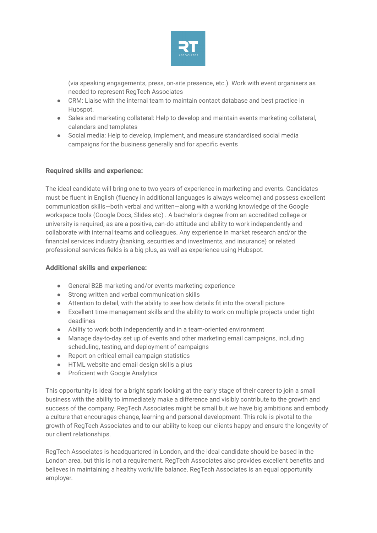

(via speaking engagements, press, on-site presence, etc.). Work with event organisers as needed to represent RegTech Associates

- CRM: Liaise with the internal team to maintain contact database and best practice in Hubspot.
- Sales and marketing collateral: Help to develop and maintain events marketing collateral, calendars and templates
- Social media: Help to develop, implement, and measure standardised social media campaigns for the business generally and for specific events

## **Required skills and experience:**

The ideal candidate will bring one to two years of experience in marketing and events. Candidates must be fluent in English (fluency in additional languages is always welcome) and possess excellent communication skills—both verbal and written—along with a working knowledge of the Google workspace tools (Google Docs, Slides etc) . A bachelor's degree from an accredited college or university is required, as are a positive, can-do attitude and ability to work independently and collaborate with internal teams and colleagues. Any experience in market research and/or the financial services industry (banking, securities and investments, and insurance) or related professional services fields is a big plus, as well as experience using Hubspot.

## **Additional skills and experience:**

- General B2B marketing and/or events marketing experience
- Strong written and verbal communication skills
- Attention to detail, with the ability to see how details fit into the overall picture
- Excellent time management skills and the ability to work on multiple projects under tight deadlines
- Ability to work both independently and in a team-oriented environment
- Manage day-to-day set up of events and other marketing email campaigns, including scheduling, testing, and deployment of campaigns
- Report on critical email campaign statistics
- HTML website and email design skills a plus
- Proficient with Google Analytics

This opportunity is ideal for a bright spark looking at the early stage of their career to join a small business with the ability to immediately make a difference and visibly contribute to the growth and success of the company. RegTech Associates might be small but we have big ambitions and embody a culture that encourages change, learning and personal development. This role is pivotal to the growth of RegTech Associates and to our ability to keep our clients happy and ensure the longevity of our client relationships.

RegTech Associates is headquartered in London, and the ideal candidate should be based in the London area, but this is not a requirement. RegTech Associates also provides excellent benefits and believes in maintaining a healthy work/life balance. RegTech Associates is an equal opportunity employer.